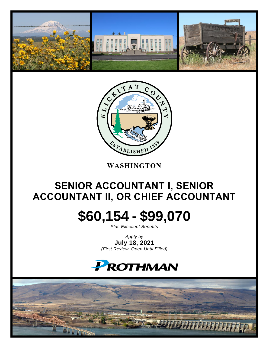



### **WASHINGTON**

## **SENIOR ACCOUNTANT I, SENIOR ACCOUNTANT II, OR CHIEF ACCOUNTANT**

# **\$60,154 - \$99,070**

*Plus Excellent Benefits*

*Apply by* **July 18, 2021** *(First Review, Open Until Filled)*

## **PROTHMAN**

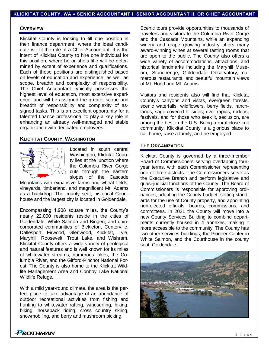#### **OVERVIEW**

Klickitat County is looking to fill one position in their finance department, where the ideal candidate will fit the role of a Chief Accountant. It is the intent of Klickitat County to hire one individual for this position, where he or she's title will be determined by extent of experience and qualifications. Each of these positions are distinguished based on levels of education and experience, as well as scope, breadth and complexity of responsibility. The Chief Accountant typically possesses the highest level of education, most extensive experience, and will be assigned the greater scope and breadth of responsibility and complexity of assigned tasks. This is an excellent opportunity for a talented finance professional to play a key role in enhancing an already well-managed and stable organization with dedicated employees.

#### **KLICKITAT COUNTY, WASHINGTON**



Located in south central Washington, Klickitat County lies at the junction where the Columbia River Gorge cuts through the eastern slopes of the Cascade

Mountains with expansive farms and wheat fields, vineyards, timberland, and magnificent Mt. Adams as a backdrop. The county seat, historical Courthouse and the largest city is located in Goldendale.

Encompassing 1,908 square miles, the County's nearly 22,000 residents reside in the cities of Goldendale, White Salmon and Bingen, and unincorporated communities of Bickleton, Centerville, Dallesport, Firwood, Glenwood, Klickitat, Lyle, Maryhill, Roosevelt, Trout Lake, and Wishram. Klickitat County offers a wide variety of geological and natural features and is well known for its miles of whitewater streams, numerous lakes, the Columbia River, and the Gifford-Pinchot National Forest. The County is also home to the Klickitat Wildlife Management Area and Conboy Lake National Wildlife Refuge.

With a mild year-round climate, the area is the perfect place to take advantage of an abundance of outdoor recreational activities from fishing and hunting to whitewater rafting, windsurfing, hiking, biking, horseback riding, cross country skiing, snowmobiling, and berry and mushroom picking.

Scenic tours provide opportunities to thousands of travelers and visitors to the Columbia River Gorge and the Cascade Mountains, while an expanding winery and grape growing industry offers many award-winning wines at several tasting rooms that are open to the public. The County also offers a wide variety of accommodations, attractions, and historical landmarks including the Maryhill Museum, Stonehenge, Goldendale Observatory, numerous restaurants, and beautiful mountain views of Mt. Hood and Mt. Adams.

Visitors and residents also will find that Klickitat County's canyons and vistas, evergreen forests, scenic waterfalls, wildflowers, berry fields, ranchlands, sage-covered hillsides, river rapids, rodeos, festivals, and for those who seek it, seclusion, are among the best in the U.S. Being a rural close-knit community, Klickitat County is a glorious place to call home, raise a family, and be employed.

#### **THE ORGANIZATION**

Klickitat County is governed by a three-member Board of Commissioners serving overlapping fouryear terms, with each Commissioner representing one of three districts. The Commissioners serve as the Executive Branch and perform legislative and quasi-judicial functions of the County. The Board of Commissioners is responsible for approving ordinances, adopting the County budget, setting standards for the use of County property, and appointing non-elected officials, boards, commissions, and committees. In 2021 the County will move into a new County Services Building to combine departments currently housed in 4 annexes, making it more accessible to the community. The County has two other services buildings; the Pioneer Center in White Salmon, and the Courthouse in the county seat, Goldendale.

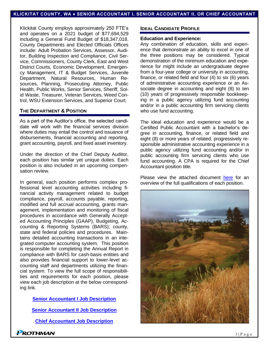Klickitat County employs approximately 250 FTE's and operates on a 2021 budget of \$77,694,529 including a General Fund Budget of \$18,347,018. County Departments and Elected Officials Offices include: Adult Probation Services, Assessor, Auditor, Building Inspection and Compliance, Civil Service, Commissioners, County Clerk, East and West District Courts, Economic Development, Emergency Management, IT & Budget Services, Juvenile Department, Natural Resources, Human Resources, Planning, Prosecuting Attorney, Public Health, Public Works, Senior Services, Sheriff, Solid Waste, Treasurer, Veteran Services, Weed Control, WSU Extension Services, and Superior Court.

#### **THE DEPARTMENT & POSITION**

As a part of the Auditor's office, the selected candidate will work with the financial services division where duties may entail the control and issuance of disbursements, financial accounting and reporting, grant accounting, payroll, and fixed asset inventory.

Under the direction of the Chief Deputy Auditor, each position has similar yet unique duties. Each position is also included in an upcoming compensation review.

In general, each position performs complex professional level accounting activities including financial activity management related to budget compliance, payroll, accounts payable, reporting, modified and full accrual accounting, grants management, implementation and monitoring of fiscal procedures in accordance with Generally Accepted Accounting Principles (GAAP), Budgeting, Accounting & Reporting Systems (BARS); county, state and federal policies and procedures. Maintains detailed accounting transactions in an integrated computer accounting system. This position is responsible for completing the Annual Report in compliance with BARS for cash-basis entities and also provides financial support to lower-level accounting staff and departments utilizing the financial system. To view the full scope of responsibilities and requirements for each position, please view each job description at the below corresponding link.

**[Senior Accountant I Job Description](https://prothman.com/JobFiles/2868/Senior%20Accountant%20I%20%20-%20Final%2006.16.2021.pdf)**

**[Senior Accountant II Job Description](https://prothman.com/JobFiles/2868/Senior%20Accountant%20II%20-%20Final%2006.16.2021.pdf)**

**[Chief Accountant Job Description](https://prothman.com/JobFiles/2868/Chief%20Accountant%20Final%2012%202019.pdf)**

#### **IDEAL CANDIDATE PROFILE**

#### **Education and Experience:**

Any combination of education, skills and experience that demonstrate an ability to excel in one of the three positions may be considered. Typical demonstration of the minimum education and experience for might include an undergraduate degree from a four-year college or university in accounting, finance, or related field and four (4) to six (6) years of administrative accounting experience or an Associate degree in accounting and eight (8) to ten (10) years of progressively responsible bookkeeping in a public agency utilizing fund accounting and/or in a public accounting firm servicing clients who use fund accounting.

The ideal education and experience would be a Certified Public Accountant with a bachelor's degree in accounting, finance, or related field and eight (8) or more years of related, progressively responsible administrative accounting experience in a public agency utilizing fund accounting and/or in public accounting firm servicing clients who use fund accounting. A CPA is required for the Chief Accountant position title.

Please view the attached document [here](https://prothman.com/JobFiles/2868/Klickitat%20County%20Employment%20Qualifications.pdf) for an overview of the full qualifications of each position.